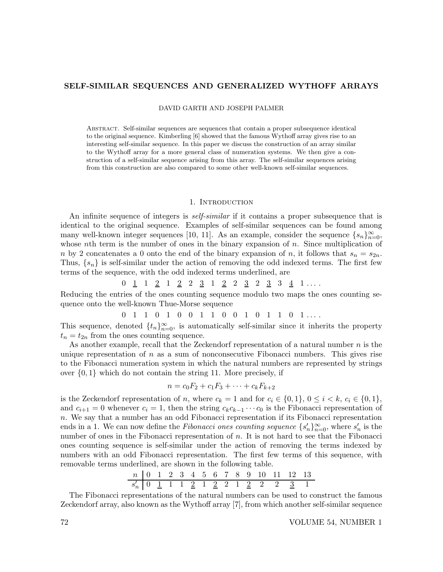### SELF-SIMILAR SEQUENCES AND GENERALIZED WYTHOFF ARRAYS

DAVID GARTH AND JOSEPH PALMER

Abstract. Self-similar sequences are sequences that contain a proper subsequence identical to the original sequence. Kimberling [6] showed that the famous Wythoff array gives rise to an interesting self-similar sequence. In this paper we discuss the construction of an array similar to the Wythoff array for a more general class of numeration systems. We then give a construction of a self-similar sequence arising from this array. The self-similar sequences arising from this construction are also compared to some other well-known self-similar sequences.

## 1. INTRODUCTION

An infinite sequence of integers is *self-similar* if it contains a proper subsequence that is identical to the original sequence. Examples of self-similar sequences can be found among many well-known integer sequences [10, 11]. As an example, consider the sequence  $\{s_n\}_{n=0}^{\infty}$ , whose nth term is the number of ones in the binary expansion of  $n$ . Since multiplication of n by 2 concatenates a 0 onto the end of the binary expansion of n, it follows that  $s_n = s_{2n}$ . Thus,  $\{s_n\}$  is self-similar under the action of removing the odd indexed terms. The first few terms of the sequence, with the odd indexed terms underlined, are

$$
0 \quad \underline{1} \quad 1 \quad \underline{2} \quad 1 \quad \underline{2} \quad 2 \quad \underline{3} \quad 1 \quad \underline{2} \quad 2 \quad \underline{3} \quad 2 \quad \underline{3} \quad 3 \quad \underline{4} \quad 1 \quad \ldots
$$

Reducing the entries of the ones counting sequence modulo two maps the ones counting sequence onto the well-known Thue-Morse sequence

$$
0 \quad 1 \quad 1 \quad 0 \quad 1 \quad 0 \quad 0 \quad 1 \quad 1 \quad 0 \quad 0 \quad 1 \quad 0 \quad 1 \quad 1 \quad 0 \quad 1 \quad \ldots
$$

This sequence, denoted  $\{t_n\}_{n=0}^{\infty}$ , is automatically self-similar since it inherits the property  $t_n = t_{2n}$  from the ones counting sequence.

As another example, recall that the Zeckendorf representation of a natural number  $n$  is the unique representation of  $n$  as a sum of nonconsecutive Fibonacci numbers. This gives rise to the Fibonacci numeration system in which the natural numbers are represented by strings over  $\{0,1\}$  which do not contain the string 11. More precisely, if

$$
n = c_0 F_2 + c_1 F_3 + \dots + c_k F_{k+2}
$$

is the Zeckendorf representation of n, where  $c_k = 1$  and for  $c_i \in \{0, 1\}$ ,  $0 \le i \le k$ ,  $c_i \in \{0, 1\}$ , and  $c_{i+1} = 0$  whenever  $c_i = 1$ , then the string  $c_k c_{k-1} \cdots c_0$  is the Fibonacci representation of n. We say that a number has an odd Fibonacci representation if its Fibonacci representation ends in a 1. We can now define the Fibonacci ones counting sequence  $\{s_n'\}_{n=0}^{\infty}$ , where  $s_n'$  is the number of ones in the Fibonacci representation of n. It is not hard to see that the Fibonacci ones counting sequence is self-similar under the action of removing the terms indexed by numbers with an odd Fibonacci representation. The first few terms of this sequence, with removable terms underlined, are shown in the following table.

n 0 1 2 3 4 5 6 7 8 9 10 11 12 13 s 0 n 0 1 1 1 2 1 2 2 1 2 2 2 3 1

The Fibonacci representations of the natural numbers can be used to construct the famous Zeckendorf array, also known as the Wythoff array [7], from which another self-similar sequence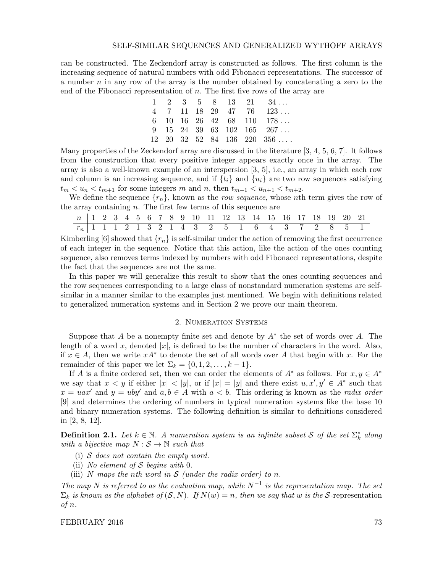### SELF-SIMILAR SEQUENCES AND GENERALIZED WYTHOFF ARRAYS

can be constructed. The Zeckendorf array is constructed as follows. The first column is the increasing sequence of natural numbers with odd Fibonacci representations. The successor of a number  $n$  in any row of the array is the number obtained by concatenating a zero to the end of the Fibonacci representation of  $n$ . The first five rows of the array are

|  |  |  | $1 \quad 2 \quad 3 \quad 5 \quad 8 \quad 13 \quad 21 \quad 34 \ldots$         |
|--|--|--|-------------------------------------------------------------------------------|
|  |  |  | $4$ 7 11 18 29 47 76 123                                                      |
|  |  |  | $6$ 10 16 26 42 68 110 178                                                    |
|  |  |  | $9 \quad 15 \quad 24 \quad 39 \quad 63 \quad 102 \quad 165 \quad 267 \ldots$  |
|  |  |  | $12 \quad 20 \quad 32 \quad 52 \quad 84 \quad 136 \quad 220 \quad 356 \ldots$ |

Many properties of the Zeckendorf array are discussed in the literature [3, 4, 5, 6, 7]. It follows from the construction that every positive integer appears exactly once in the array. The array is also a well-known example of an interspersion [3, 5], i.e., an array in which each row and column is an increasing sequence, and if  $\{t_i\}$  and  $\{u_i\}$  are two row sequences satisfying  $t_m < u_n < t_{m+1}$  for some integers m and n, then  $t_{m+1} < u_{n+1} < t_{m+2}$ .

We define the sequence  $\{r_n\}$ , known as the *row sequence*, whose nth term gives the row of the array containing  $n$ . The first few terms of this sequence are

| n   1 2 3 4 5 6 7 8 9 10 11 12 13 14 15 16 17 18 19 20 21 |  |  |  |  |  |  |  |  |  |  |  |
|-----------------------------------------------------------|--|--|--|--|--|--|--|--|--|--|--|
| $r_n$ 1 1 1 2 1 3 2 1 4 3 2 5 1 6 4 3 7 2 8 5 1           |  |  |  |  |  |  |  |  |  |  |  |

Kimberling [6] showed that  $\{r_n\}$  is self-similar under the action of removing the first occurrence of each integer in the sequence. Notice that this action, like the action of the ones counting sequence, also removes terms indexed by numbers with odd Fibonacci representations, despite the fact that the sequences are not the same.

In this paper we will generalize this result to show that the ones counting sequences and the row sequences corresponding to a large class of nonstandard numeration systems are selfsimilar in a manner similar to the examples just mentioned. We begin with definitions related to generalized numeration systems and in Section 2 we prove our main theorem.

## 2. Numeration Systems

Suppose that A be a nonempty finite set and denote by  $A^*$  the set of words over A. The length of a word x, denoted  $|x|$ , is defined to be the number of characters in the word. Also, if  $x \in A$ , then we write  $xA^*$  to denote the set of all words over A that begin with x. For the remainder of this paper we let  $\Sigma_k = \{0, 1, 2, \ldots, k-1\}.$ 

If A is a finite ordered set, then we can order the elements of  $A^*$  as follows. For  $x, y \in A^*$ we say that  $x < y$  if either  $|x| < |y|$ , or if  $|x| = |y|$  and there exist  $u, x', y' \in A^*$  such that  $x = uax'$  and  $y = uby'$  and  $a, b \in A$  with  $a < b$ . This ordering is known as the *radix order* [9] and determines the ordering of numbers in typical numeration systems like the base 10 and binary numeration systems. The following definition is similar to definitions considered in [2, 8, 12].

**Definition 2.1.** Let  $k \in \mathbb{N}$ . A numeration system is an infinite subset S of the set  $\Sigma_k^*$  along with a bijective map  $N : \mathcal{S} \to \mathbb{N}$  such that

- (i) S does not contain the empty word.
- (ii) No element of S begins with 0.
- (iii) N maps the nth word in  $S$  (under the radix order) to n.

The map N is referred to as the evaluation map, while  $N^{-1}$  is the representation map. The set  $\Sigma_k$  is known as the alphabet of  $(S, N)$ . If  $N(w) = n$ , then we say that w is the S-representation of n.

FEBRUARY 2016 73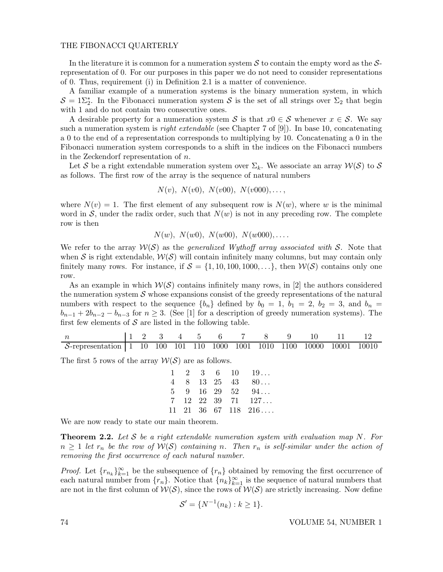## THE FIBONACCI QUARTERLY

In the literature it is common for a numeration system  $S$  to contain the empty word as the  $S$ representation of 0. For our purposes in this paper we do not need to consider representations of 0. Thus, requirement (i) in Definition 2.1 is a matter of convenience.

A familiar example of a numeration systems is the binary numeration system, in which  $S = 1\Sigma_2^*$ . In the Fibonacci numeration system S is the set of all strings over  $\Sigma_2$  that begin with 1 and do not contain two consecutive ones.

A desirable property for a numeration system S is that  $x0 \in S$  whenever  $x \in S$ . We say such a numeration system is *right extendable* (see Chapter 7 of  $[9]$ ). In base 10, concatenating a 0 to the end of a representation corresponds to multiplying by 10. Concatenating a 0 in the Fibonacci numeration system corresponds to a shift in the indices on the Fibonacci numbers in the Zeckendorf representation of n.

Let S be a right extendable numeration system over  $\Sigma_k$ . We associate an array  $\mathcal{W}(S)$  to S as follows. The first row of the array is the sequence of natural numbers

$$
N(v)
$$
,  $N(v0)$ ,  $N(v00)$ ,  $N(v000)$ ,...,

where  $N(v) = 1$ . The first element of any subsequent row is  $N(w)$ , where w is the minimal word in  $S$ , under the radix order, such that  $N(w)$  is not in any preceding row. The complete row is then

$$
N(w)
$$
,  $N(w0)$ ,  $N(w00)$ ,  $N(w000)$ ,....

We refer to the array  $W(S)$  as the *generalized Wythoff array associated with* S. Note that when S is right extendable,  $W(S)$  will contain infinitely many columns, but may contain only finitely many rows. For instance, if  $S = \{1, 10, 100, 1000, \ldots\}$ , then  $W(S)$  contains only one row.

As an example in which  $W(S)$  contains infinitely many rows, in [2] the authors considered the numeration system  $S$  whose expansions consist of the greedy representations of the natural numbers with respect to the sequence  ${b_n}$  defined by  $b_0 = 1$ ,  $b_1 = 2$ ,  $b_2 = 3$ , and  $b_n =$  $b_{n-1} + 2b_{n-2} - b_{n-3}$  for  $n \geq 3$ . (See [1] for a description of greedy numeration systems). The first few elements of  $S$  are listed in the following table.

|                                                                              |  |  | $11$ 2 3 4 5 6 7 8 |  |  |  |
|------------------------------------------------------------------------------|--|--|--------------------|--|--|--|
| $S$ -representation   1 10 100 101 110 1000 1001 1010 1100 10000 10001 10010 |  |  |                    |  |  |  |

The first 5 rows of the array  $W(S)$  are as follows.

|  |  | $1 \quad 2 \quad 3 \quad 6 \quad 10 \quad 19$<br>$4 \t 8 \t 13 \t 25 \t 43 \t 80$<br>$5 \t 9 \t 16 \t 29 \t 52 \t 94$<br>$7 \quad 12 \quad 22 \quad 39 \quad 71 \quad 127 \ldots$<br>$11 \quad 21 \quad 36 \quad 67 \quad 118 \quad 216 \ldots$ |
|--|--|-------------------------------------------------------------------------------------------------------------------------------------------------------------------------------------------------------------------------------------------------|

We are now ready to state our main theorem.

**Theorem 2.2.** Let  $S$  be a right extendable numeration system with evaluation map  $N$ . For  $n \geq 1$  let  $r_n$  be the row of  $\mathcal{W}(S)$  containing n. Then  $r_n$  is self-similar under the action of removing the first occurrence of each natural number.

*Proof.* Let  ${r_{n_k}}_{k=1}^{\infty}$  be the subsequence of  ${r_n}$  obtained by removing the first occurrence of each natural number from  $\{r_n\}$ . Notice that  $\{n_k\}_{k=1}^{\infty}$  is the sequence of natural numbers that are not in the first column of  $W(S)$ , since the rows of  $W(S)$  are strictly increasing. Now define

$$
S' = \{ N^{-1}(n_k) : k \ge 1 \}.
$$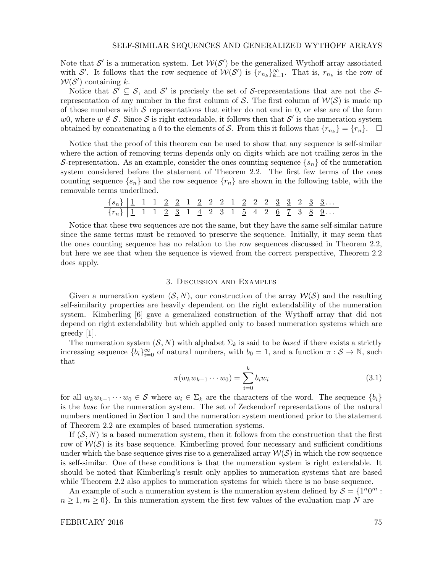Note that S' is a numeration system. Let  $W(S')$  be the generalized Wythoff array associated with S'. It follows that the row sequence of  $\mathcal{W}(\mathcal{S}')$  is  $\{r_{n_k}\}_{k=1}^{\infty}$ . That is,  $r_{n_k}$  is the row of  $W(S')$  containing k.

Notice that  $S' \subseteq S$ , and S' is precisely the set of S-representations that are not the Srepresentation of any number in the first column of S. The first column of  $\mathcal{W}(\mathcal{S})$  is made up of those numbers with  $S$  representations that either do not end in 0, or else are of the form w0, where  $w \notin \mathcal{S}$ . Since  $\mathcal{S}$  is right extendable, it follows then that  $\mathcal{S}'$  is the numeration system obtained by concatenating a 0 to the elements of S. From this it follows that  ${r_{n_k}} = {r_n}.$   $\Box$ 

Notice that the proof of this theorem can be used to show that any sequence is self-similar where the action of removing terms depends only on digits which are not trailing zeros in the S-representation. As an example, consider the ones counting sequence  $\{s_n\}$  of the numeration system considered before the statement of Theorem 2.2. The first few terms of the ones counting sequence  $\{s_n\}$  and the row sequence  $\{r_n\}$  are shown in the following table, with the removable terms underlined.

$$
\frac{\{s_n\}}{\{r_n\}} \frac{1}{1} \quad \frac{1}{1} \quad \frac{1}{1} \quad \frac{2}{2} \quad \frac{2}{2} \quad \frac{1}{1} \quad \frac{2}{2} \quad \frac{2}{2} \quad \frac{2}{2} \quad \frac{1}{1} \quad \frac{2}{2} \quad \frac{2}{2} \quad \frac{3}{2} \quad \frac{3}{2} \quad \frac{3}{2} \quad \frac{3}{2} \quad \frac{3}{2} \quad \frac{3}{2} \quad \frac{3}{2} \quad \frac{3}{2} \quad \frac{3}{2} \quad \frac{3}{2} \quad \frac{3}{2} \quad \frac{3}{2} \quad \frac{3}{2} \quad \frac{3}{2} \quad \frac{3}{2} \quad \frac{3}{2} \quad \frac{3}{2} \quad \frac{3}{2} \quad \frac{3}{2} \quad \frac{3}{2} \quad \frac{3}{2} \quad \frac{3}{2} \quad \frac{3}{2} \quad \frac{3}{2} \quad \frac{3}{2} \quad \frac{3}{2} \quad \frac{3}{2} \quad \frac{3}{2} \quad \frac{3}{2} \quad \frac{3}{2} \quad \frac{3}{2} \quad \frac{3}{2} \quad \frac{3}{2} \quad \frac{3}{2} \quad \frac{3}{2} \quad \frac{3}{2} \quad \frac{3}{2} \quad \frac{3}{2} \quad \frac{3}{2} \quad \frac{3}{2} \quad \frac{3}{2} \quad \frac{3}{2} \quad \frac{3}{2} \quad \frac{3}{2} \quad \frac{3}{2} \quad \frac{3}{2} \quad \frac{3}{2} \quad \frac{3}{2} \quad \frac{3}{2} \quad \frac{3}{2} \quad \frac{3}{2} \quad \frac{3}{2} \quad \frac{3}{2} \quad \frac{3}{2} \quad \frac{3}{2} \quad \frac{3}{2} \quad \frac{3}{2} \quad \frac{3}{2} \quad \frac{3}{2} \quad \frac{3}{2} \quad \frac{3}{2} \quad \frac{3}{2} \quad \frac{3}{2} \quad \frac{3}{2} \quad \frac{3}{2} \quad \frac{3}{2} \quad \frac{3}{2} \quad \frac{3}{2} \quad \frac{3}{2} \quad \frac{3}{2} \quad \frac{3}{2} \
$$

Notice that these two sequences are not the same, but they have the same self-similar nature since the same terms must be removed to preserve the sequence. Initially, it may seem that the ones counting sequence has no relation to the row sequences discussed in Theorem 2.2, but here we see that when the sequence is viewed from the correct perspective, Theorem 2.2 does apply.

## 3. Discussion and Examples

Given a numeration system  $(S, N)$ , our construction of the array  $W(S)$  and the resulting self-similarity properties are heavily dependent on the right extendability of the numeration system. Kimberling [6] gave a generalized construction of the Wythoff array that did not depend on right extendability but which applied only to based numeration systems which are greedy [1].

The numeration system  $(S, N)$  with alphabet  $\Sigma_k$  is said to be *based* if there exists a strictly increasing sequence  ${b_i}_{i=0}^{\infty}$  of natural numbers, with  $b_0 = 1$ , and a function  $\pi : \mathcal{S} \to \mathbb{N}$ , such that

$$
\pi(w_k w_{k-1} \cdots w_0) = \sum_{i=0}^k b_i w_i \tag{3.1}
$$

for all  $w_kw_{k-1}\cdots w_0\in\mathcal{S}$  where  $w_i\in\Sigma_k$  are the characters of the word. The sequence  $\{b_i\}$ is the base for the numeration system. The set of Zeckendorf representations of the natural numbers mentioned in Section 1 and the numeration system mentioned prior to the statement of Theorem 2.2 are examples of based numeration systems.

If  $(S, N)$  is a based numeration system, then it follows from the construction that the first row of  $W(S)$  is its base sequence. Kimberling proved four necessary and sufficient conditions under which the base sequence gives rise to a generalized array  $W(S)$  in which the row sequence is self-similar. One of these conditions is that the numeration system is right extendable. It should be noted that Kimberling's result only applies to numeration systems that are based while Theorem 2.2 also applies to numeration systems for which there is no base sequence.

An example of such a numeration system is the numeration system defined by  $S = \{1^n 0^m :$  $n \geq 1, m \geq 0$ . In this numeration system the first few values of the evaluation map N are

FEBRUARY 2016 75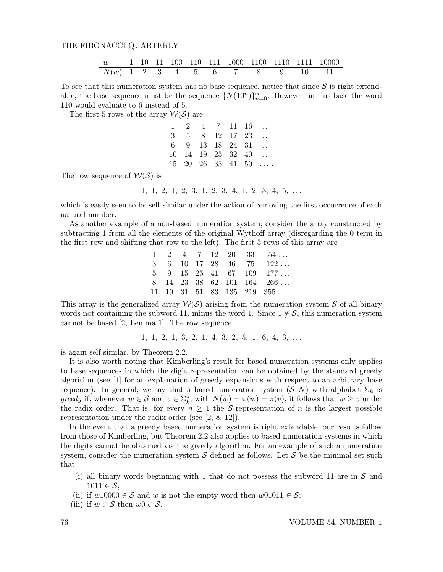### THE FIBONACCI QUARTERLY

|                    |  |  |  |  |  | $\begin{bmatrix} 1 & 10 & 11 & 100 & 110 & 111 & 1000 & 1100 & 1110 & 1111 & 10000 \end{bmatrix}$ |
|--------------------|--|--|--|--|--|---------------------------------------------------------------------------------------------------|
| $N(w)$ 1 2 3 4 5 6 |  |  |  |  |  |                                                                                                   |

To see that this numeration system has no base sequence, notice that since  $S$  is right extendable, the base sequence must be the sequence  $\{N(10^n)\}_{n=0}^{\infty}$ . However, in this base the word 110 would evaluate to 6 instead of 5.

The first 5 rows of the array  $W(S)$  are

|  |  |  | $1 \quad 2 \quad 4 \quad 7 \quad 11 \quad 16 \quad \ldots$     |
|--|--|--|----------------------------------------------------------------|
|  |  |  | $3 \quad 5 \quad 8 \quad 12 \quad 17 \quad 23 \quad \ldots$    |
|  |  |  | $6 \t 9 \t 13 \t 18 \t 24 \t 31 \t \ldots$                     |
|  |  |  | $10 \quad 14 \quad 19 \quad 25 \quad 32 \quad 40 \quad \ldots$ |
|  |  |  | $15$ $20$ $26$ $33$ $41$ $50$                                  |

The row sequence of  $W(S)$  is

1, 1, 2, 1, 2, 3, 1, 2, 3, 4, 1, 2, 3, 4, 5, . . .

which is easily seen to be self-similar under the action of removing the first occurrence of each natural number.

As another example of a non-based numeration system, consider the array constructed by subtracting 1 from all the elements of the original Wythoff array (disregarding the 0 term in the first row and shifting that row to the left). The first 5 rows of this array are

|  |  |  | $1 \quad 2 \quad 4 \quad 7 \quad 12 \quad 20 \quad 33 \quad 54 \ldots$        |
|--|--|--|-------------------------------------------------------------------------------|
|  |  |  | $3 \t 6 \t 10 \t 17 \t 28 \t 46 \t 75 \t 122 \ldots$                          |
|  |  |  | $5 \t 9 \t 15 \t 25 \t 41 \t 67 \t 109 \t 177 \ldots$                         |
|  |  |  | $8$ 14 23 38 62 101 164 266                                                   |
|  |  |  | $11 \quad 19 \quad 31 \quad 51 \quad 83 \quad 135 \quad 219 \quad 355 \ldots$ |

This array is the generalized array  $W(S)$  arising from the numeration system S of all binary words not containing the subword 11, minus the word 1. Since  $1 \notin S$ , this numeration system cannot be based [2, Lemma 1]. The row sequence

$$
1, 1, 2, 1, 3, 2, 1, 4, 3, 2, 5, 1, 6, 4, 3, \ldots
$$

is again self-similar, by Theorem 2.2.

It is also worth noting that Kimberling's result for based numeration systems only applies to base sequences in which the digit representation can be obtained by the standard greedy algorithm (see [1] for an explanation of greedy expansions with respect to an arbitrary base sequence). In general, we say that a based numeration system  $(S, N)$  with alphabet  $\Sigma_k$  is greedy if, whenever  $w \in S$  and  $v \in \Sigma_k^*$ , with  $N(w) = \pi(w) = \pi(v)$ , it follows that  $w \geq v$  under the radix order. That is, for every  $n \geq 1$  the S-representation of n is the largest possible representation under the radix order (see [2, 8, 12]).

In the event that a greedy based numeration system is right extendable, our results follow from those of Kimberling, but Theorem 2.2 also applies to based numeration systems in which the digits cannot be obtained via the greedy algorithm. For an example of such a numeration system, consider the numeration system S defined as follows. Let S be the minimal set such that:

- (i) all binary words beginning with 1 that do not possess the subword 11 are in  $S$  and  $1011 \in \mathcal{S}$ ;
- (ii) if  $w10000 \in S$  and w is not the empty word then  $w01011 \in S$ ;
- (iii) if  $w \in \mathcal{S}$  then  $w0 \in \mathcal{S}$ .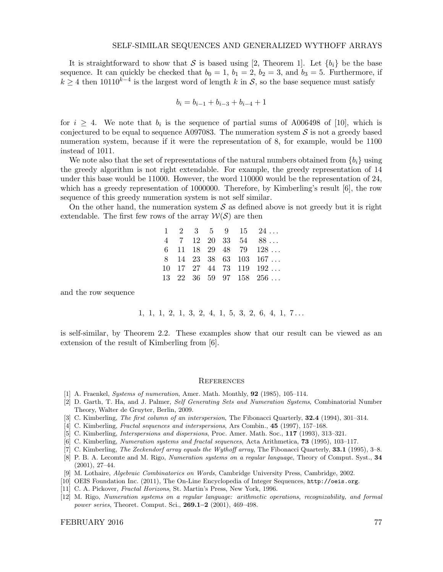It is straightforward to show that S is based using [2, Theorem 1]. Let  ${b_i}$  be the base sequence. It can quickly be checked that  $b_0 = 1$ ,  $b_1 = 2$ ,  $b_2 = 3$ , and  $b_3 = 5$ . Furthermore, if  $k \geq 4$  then 10110<sup>k-4</sup> is the largest word of length k in S, so the base sequence must satisfy

$$
b_i = b_{i-1} + b_{i-3} + b_{i-4} + 1
$$

for  $i \geq 4$ . We note that  $b_i$  is the sequence of partial sums of A006498 of [10], which is conjectured to be equal to sequence A097083. The numeration system  $S$  is not a greedy based numeration system, because if it were the representation of 8, for example, would be 1100 instead of 1011.

We note also that the set of representations of the natural numbers obtained from  $\{b_i\}$  using the greedy algorithm is not right extendable. For example, the greedy representation of 14 under this base would be 11000. However, the word 110000 would be the representation of 24, which has a greedy representation of 1000000. Therefore, by Kimberling's result [6], the row sequence of this greedy numeration system is not self similar.

On the other hand, the numeration system  $S$  as defined above is not greedy but it is right extendable. The first few rows of the array  $W(S)$  are then

|  |  |  | $1 \quad 2 \quad 3 \quad 5 \quad 9 \quad 15 \quad 24 \ldots$        |
|--|--|--|---------------------------------------------------------------------|
|  |  |  | $4$ 7 12 20 33 54 88                                                |
|  |  |  | $6$ 11 18 29 48 79 128                                              |
|  |  |  | $8$ 14 23 38 63 103 167                                             |
|  |  |  | $10 \quad 17 \quad 27 \quad 44 \quad 73 \quad 119 \quad 192 \ldots$ |
|  |  |  | $13$ 22 36 59 97 158 256                                            |

and the row sequence

1, 1, 1, 2, 1, 3, 2, 4, 1, 5, 3, 2, 6, 4, 1, 7 . . .

is self-similar, by Theorem 2.2. These examples show that our result can be viewed as an extension of the result of Kimberling from [6].

#### **REFERENCES**

- [1] A. Fraenkel, Systems of numeration, Amer. Math. Monthly, 92 (1985), 105–114.
- [2] D. Garth, T. Ha, and J. Palmer, Self Generating Sets and Numeration Systems, Combinatorial Number Theory, Walter de Gruyter, Berlin, 2009.
- [3] C. Kimberling, *The first column of an interspersion*, The Fibonacci Quarterly, **32.4** (1994), 301–314.
- [4] C. Kimberling, Fractal sequences and interspersions, Ars Combin., 45 (1997), 157–168.
- [5] C. Kimberling, Interspersions and dispersions, Proc. Amer. Math. Soc., 117 (1993), 313–321.
- [6] C. Kimberling, Numeration systems and fractal sequences, Acta Arithmetica, 73 (1995), 103–117.
- [7] C. Kimberling, *The Zeckendorf array equals the Wythoff array*, The Fibonacci Quarterly, **33.1** (1995), 3–8.
- [8] P. B. A. Lecomte and M. Rigo, Numeration systems on a regular language, Theory of Comput. Syst., 34 (2001), 27–44.
- [9] M. Lothaire, Algebraic Combinatorics on Words, Cambridge University Press, Cambridge, 2002.
- [10] OEIS Foundation Inc. (2011), The On-Line Encyclopedia of Integer Sequences, http://oeis.org.
- [11] C. A. Pickover, Fractal Horizons, St. Martin's Press, New York, 1996.
- [12] M. Rigo, Numeration systems on a regular language: arithmetic operations, recognizability, and formal power series, Theoret. Comput. Sci., 269.1–2 (2001), 469–498.